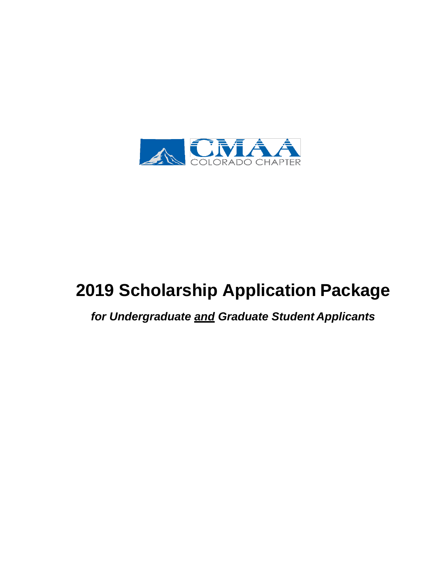

# **2019 Scholarship Application Package**

# *for Undergraduate and Graduate Student Applicants*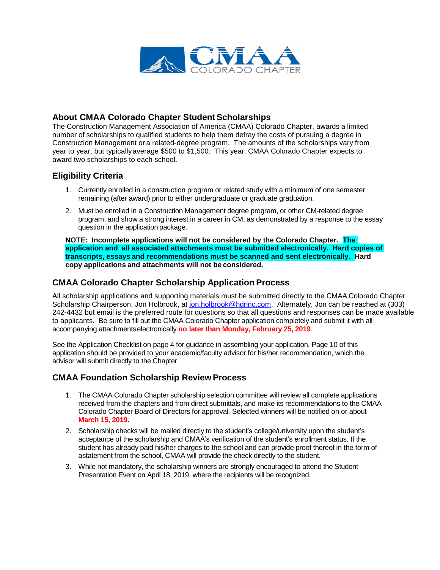

# **About CMAA Colorado Chapter Student Scholarships**

The Construction Management Association of America (CMAA) Colorado Chapter, awards a limited number of scholarships to qualified students to help them defray the costs of pursuing a degree in Construction Management or a related-degree program. The amounts of the scholarships vary from year to year, but typicallyaverage \$500 to \$1,500. This year, CMAA Colorado Chapter expects to award two scholarships to each school.

#### **Eligibility Criteria**

- 1. Currently enrolled in a construction program or related study with a minimum of one semester remaining (after award) prior to either undergraduate or graduate graduation.
- 2. Must be enrolled in a Construction Management degree program, or other CM-related degree program, and show a strong interest in a career in CM, as demonstrated by a response to the essay question in the application package.

**NOTE: Incomplete applications will not be considered by the Colorado Chapter. The application and all associated attachments must be submitted electronically. Hard copies of transcripts, essays and recommendations must be scanned and sent electronically. Hard copy applications and attachments will not be considered.**

# **CMAA Colorado Chapter Scholarship Application Process**

All scholarship applications and supporting materials must be submitted directly to the CMAA Colorado Chapter Scholarship Chairperson, Jon Holbrook, at [jon.holbrook@hdrinc.com.](mailto:jon.holbrook@hdrinc.com) Alternately, Jon can be reached at (303) 242-4432 but email is the preferred route for questions so that all questions and responses can be made available to applicants. Be sure to fill out the CMAA Colorado Chapter application completely and submit it with all accompanying attachmentselectronically **no later than Monday, February 25, 2019**.

See the Application Checklist on page 4 for guidance in assembling your application. Page 10 of this application should be provided to your academic/faculty advisor for his/her recommendation, which the advisor will submit directly to the Chapter.

# **CMAA Foundation Scholarship Review Process**

- 1. The CMAA Colorado Chapter scholarship selection committee will review all complete applications received from the chapters and from direct submittals, and make its recommendations to the CMAA Colorado Chapter Board of Directors for approval. Selected winners will be notified on or about **March 15, 2019.**
- 2. Scholarship checks will be mailed directly to the student's college/university upon the student's acceptance of the scholarship and CMAA's verification of the student's enrollment status. If the student has already paid his/her charges to the school and can provide proof thereof in the form of astatement from the school, CMAA will provide the check directly to the student.
- 3. While not mandatory, the scholarship winners are strongly encouraged to attend the Student Presentation Event on April 18, 2019, where the recipients will be recognized.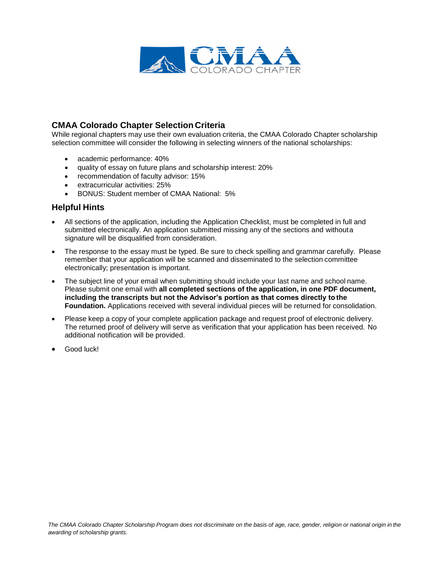

# **CMAA Colorado Chapter Selection Criteria**

While regional chapters may use their own evaluation criteria, the CMAA Colorado Chapter scholarship selection committee will consider the following in selecting winners of the national scholarships:

- academic performance: 40%
- quality of essay on future plans and scholarship interest: 20%
- recommendation of faculty advisor: 15%
- extracurricular activities: 25%
- BONUS: Student member of CMAA National: 5%

#### **Helpful Hints**

- All sections of the application, including the Application Checklist, must be completed in full and submitted electronically. An application submitted missing any of the sections and withouta signature will be disqualified from consideration.
- The response to the essay must be typed. Be sure to check spelling and grammar carefully. Please remember that your application will be scanned and disseminated to the selection committee electronically; presentation is important.
- The subject line of your email when submitting should include your last name and school name. Please submit one email with **all completed sections of the application, in one PDF document, including the transcripts but not the Advisor's portion as that comes directly to the Foundation.** Applications received with several individual pieces will be returned for consolidation.
- Please keep a copy of your complete application package and request proof of electronic delivery. The returned proof of delivery will serve as verification that your application has been received. No additional notification will be provided.
- Good luck!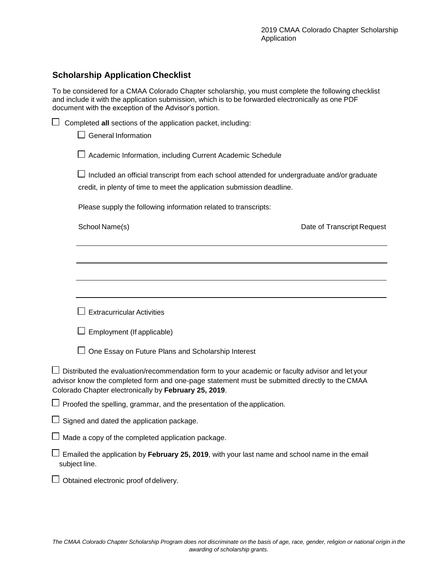# **Scholarship Application Checklist**

To be considered for a CMAA Colorado Chapter scholarship, you must complete the following checklist and include it with the application submission, which is to be forwarded electronically as one PDF document with the exception of the Advisor's portion.

| Completed all sections of the application packet, including:                                                                                                                                                                                              |  |  |  |
|-----------------------------------------------------------------------------------------------------------------------------------------------------------------------------------------------------------------------------------------------------------|--|--|--|
| <b>General Information</b>                                                                                                                                                                                                                                |  |  |  |
| J Academic Information, including Current Academic Schedule                                                                                                                                                                                               |  |  |  |
| $\perp$ Included an official transcript from each school attended for undergraduate and/or graduate<br>credit, in plenty of time to meet the application submission deadline.                                                                             |  |  |  |
| Please supply the following information related to transcripts:                                                                                                                                                                                           |  |  |  |
| School Name(s)<br>Date of Transcript Request                                                                                                                                                                                                              |  |  |  |
|                                                                                                                                                                                                                                                           |  |  |  |
|                                                                                                                                                                                                                                                           |  |  |  |
|                                                                                                                                                                                                                                                           |  |  |  |
| <b>Extracurricular Activities</b>                                                                                                                                                                                                                         |  |  |  |
| J Employment (If applicable)                                                                                                                                                                                                                              |  |  |  |
| □ One Essay on Future Plans and Scholarship Interest                                                                                                                                                                                                      |  |  |  |
| Distributed the evaluation/recommendation form to your academic or faculty advisor and let your<br>advisor know the completed form and one-page statement must be submitted directly to the CMAA<br>Colorado Chapter electronically by February 25, 2019. |  |  |  |
| $\Box$ Proofed the spelling, grammar, and the presentation of the application.                                                                                                                                                                            |  |  |  |
| Signed and dated the application package.                                                                                                                                                                                                                 |  |  |  |
| $\Box$ Made a copy of the completed application package.                                                                                                                                                                                                  |  |  |  |
| Emailed the application by February 25, 2019, with your last name and school name in the email<br>subject line.                                                                                                                                           |  |  |  |
| $\Box$ Obtained electronic proof of delivery.                                                                                                                                                                                                             |  |  |  |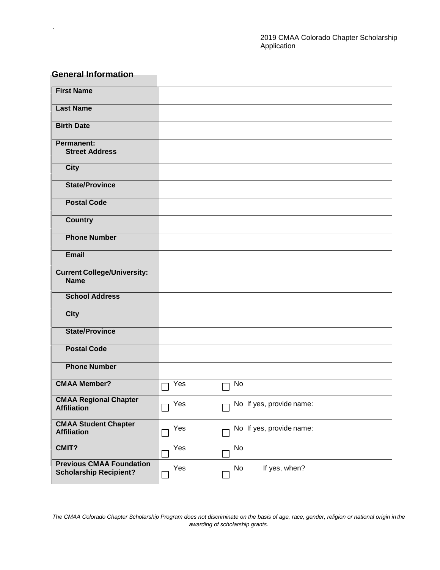# **General Information**

*.*

| <b>First Name</b>                                                |            |                                 |
|------------------------------------------------------------------|------------|---------------------------------|
| <b>Last Name</b>                                                 |            |                                 |
| <b>Birth Date</b>                                                |            |                                 |
| <b>Permanent:</b><br><b>Street Address</b>                       |            |                                 |
| <b>City</b>                                                      |            |                                 |
| <b>State/Province</b>                                            |            |                                 |
| <b>Postal Code</b>                                               |            |                                 |
| <b>Country</b>                                                   |            |                                 |
| <b>Phone Number</b>                                              |            |                                 |
| Email                                                            |            |                                 |
| <b>Current College/University:</b><br><b>Name</b>                |            |                                 |
| <b>School Address</b>                                            |            |                                 |
| <b>City</b>                                                      |            |                                 |
| <b>State/Province</b>                                            |            |                                 |
| <b>Postal Code</b>                                               |            |                                 |
| <b>Phone Number</b>                                              |            |                                 |
| <b>CMAA Member?</b>                                              | Yes        | No                              |
| <b>CMAA Regional Chapter</b><br><b>Affiliation</b>               | $\Box$ Yes | $\Box$ No If yes, provide name: |
| <b>CMAA Student Chapter</b><br><b>Affiliation</b>                | Yes        | No If yes, provide name:        |
| CMIT?                                                            | Yes        | $\overline{N}$                  |
| <b>Previous CMAA Foundation</b><br><b>Scholarship Recipient?</b> | Yes        | If yes, when?<br>No             |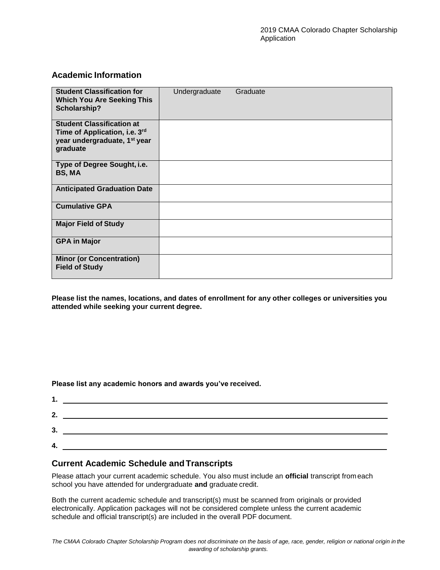#### **Academic Information**

| <b>Student Classification for</b><br><b>Which You Are Seeking This</b><br>Scholarship?                                    | Graduate<br>Undergraduate |
|---------------------------------------------------------------------------------------------------------------------------|---------------------------|
| <b>Student Classification at</b><br>Time of Application, i.e. 3rd<br>year undergraduate, 1 <sup>st</sup> year<br>graduate |                           |
| Type of Degree Sought, i.e.<br>BS, MA                                                                                     |                           |
| <b>Anticipated Graduation Date</b>                                                                                        |                           |
| <b>Cumulative GPA</b>                                                                                                     |                           |
| <b>Major Field of Study</b>                                                                                               |                           |
| <b>GPA in Major</b>                                                                                                       |                           |
| <b>Minor (or Concentration)</b><br><b>Field of Study</b>                                                                  |                           |

**Please list the names, locations, and dates of enrollment for any other colleges or universities you attended while seeking your current degree.**

**Please list any academic honors and awards you've received.**

| 1. |  |
|----|--|
| 2. |  |
| З. |  |
| 4  |  |
|    |  |

# **Current Academic Schedule andTranscripts**

Please attach your current academic schedule. You also must include an **official** transcript from each school you have attended for undergraduate **and** graduate credit.

Both the current academic schedule and transcript(s) must be scanned from originals or provided electronically. Application packages will not be considered complete unless the current academic schedule and official transcript(s) are included in the overall PDF document.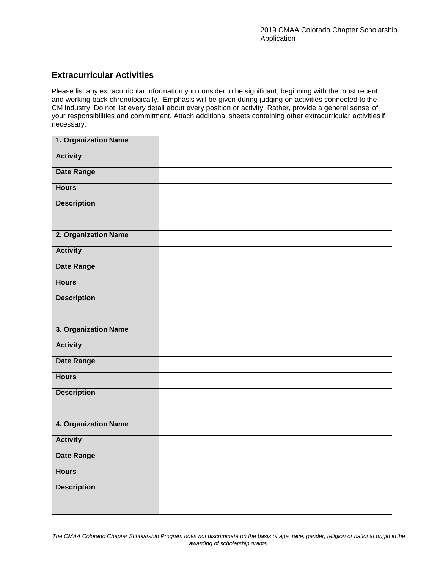# **Extracurricular Activities**

Please list any extracurricular information you consider to be significant, beginning with the most recent and working back chronologically. Emphasis will be given during judging on activities connected to the CM industry. Do not list every detail about every position or activity. Rather, provide a general sense of your responsibilities and commitment. Attach additional sheets containing other extracurricular activities if necessary.

| 1. Organization Name |  |
|----------------------|--|
| <b>Activity</b>      |  |
| <b>Date Range</b>    |  |
| <b>Hours</b>         |  |
| <b>Description</b>   |  |
| 2. Organization Name |  |
| <b>Activity</b>      |  |
| <b>Date Range</b>    |  |
| <b>Hours</b>         |  |
| <b>Description</b>   |  |
| 3. Organization Name |  |
| <b>Activity</b>      |  |
| <b>Date Range</b>    |  |
| <b>Hours</b>         |  |
| <b>Description</b>   |  |
| 4. Organization Name |  |
| <b>Activity</b>      |  |
| <b>Date Range</b>    |  |
| <b>Hours</b>         |  |
| <b>Description</b>   |  |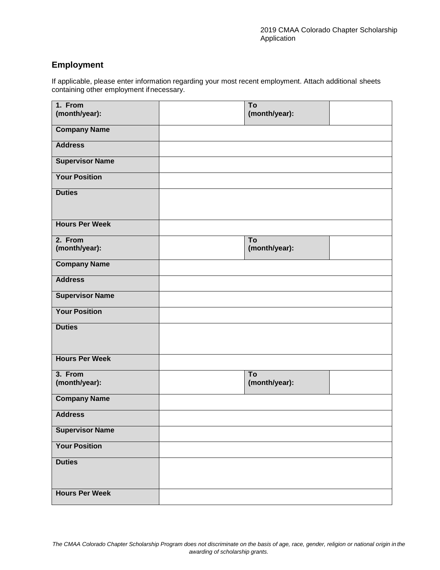# **Employment**

If applicable, please enter information regarding your most recent employment. Attach additional sheets containing other employment ifnecessary.

| 1. From<br>(month/year): | To<br>(month/year): |  |
|--------------------------|---------------------|--|
| <b>Company Name</b>      |                     |  |
|                          |                     |  |
| <b>Address</b>           |                     |  |
| <b>Supervisor Name</b>   |                     |  |
| <b>Your Position</b>     |                     |  |
| <b>Duties</b>            |                     |  |
| <b>Hours Per Week</b>    |                     |  |
| 2. From<br>(month/year): | To<br>(month/year): |  |
| <b>Company Name</b>      |                     |  |
| <b>Address</b>           |                     |  |
| <b>Supervisor Name</b>   |                     |  |
| <b>Your Position</b>     |                     |  |
| <b>Duties</b>            |                     |  |
| <b>Hours Per Week</b>    |                     |  |
| 3. From<br>(month/year): | To<br>(month/year): |  |
| <b>Company Name</b>      |                     |  |
| <b>Address</b>           |                     |  |
| <b>Supervisor Name</b>   |                     |  |
| <b>Your Position</b>     |                     |  |
| <b>Duties</b>            |                     |  |
| <b>Hours Per Week</b>    |                     |  |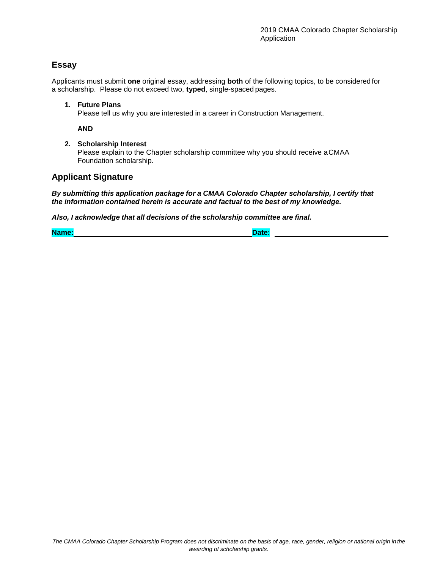# **Essay**

Applicants must submit **one** original essay, addressing **both** of the following topics, to be considered for a scholarship. Please do not exceed two, **typed**, single-spaced pages.

**1. Future Plans** Please tell us why you are interested in a career in Construction Management.

**AND**

**2. Scholarship Interest**

Please explain to the Chapter scholarship committee why you should receive aCMAA Foundation scholarship.

#### **Applicant Signature**

*By submitting this application package for a CMAA Colorado Chapter scholarship, I certify that the information contained herein is accurate and factual to the best of my knowledge.*

*Also, I acknowledge that all decisions of the scholarship committee are final.*

**Name: Date:**